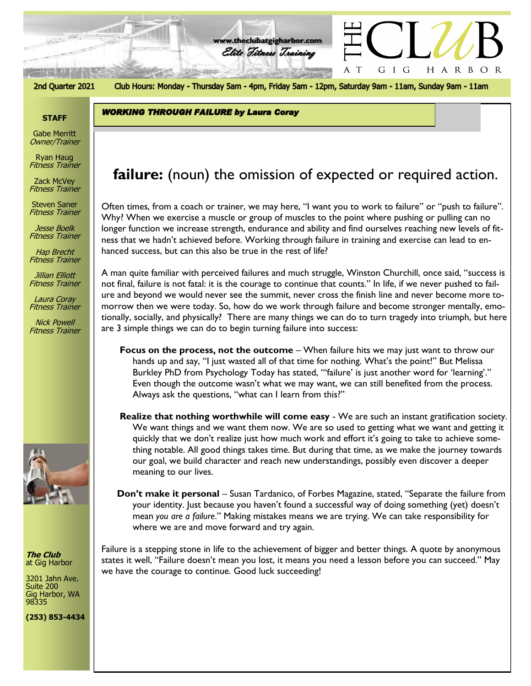

2nd Quarter 2021

Club Hours: Monday - Thursday 5am - 4pm, Friday 5am - 12pm, Saturday 9am - 11am, Sunday 9am - 11am

**www.theclubatgigharbor.com**

Elite Fitness Training

**WORKING THROUGH FAILURE by Laura Coray** 

### **STAFF**

Gabe Merritt Owner/Trainer

Ryan Haug Fitness Trainer

Zack McVey Fitness Trainer

Steven Saner Fitness Trainer

Jesse Boelk Fitness Trainer

Hap Brecht Fitness Trainer

Jillian Elliott Fitness Trainer

Laura Coray Fitness Trainer

Nick Powell Fitness Trainer



**The Club** at Gig Harbor

3201 Jahn Ave. Suite 200 Gig Harbor, WA 98335

**(253) 853-4434**

# *The Club at Gig Harbor* **failure:** (noun) the omission of expected or required action.

Often times, from a coach or trainer, we may here, "I want you to work to failure" or "push to failure". Why? When we exercise a muscle or group of muscles to the point where pushing or pulling can no longer function we increase strength, endurance and ability and find ourselves reaching new levels of fitness that we hadn't achieved before. Working through failure in training and exercise can lead to enhanced success, but can this also be true in the rest of life?

A man quite familiar with perceived failures and much struggle, Winston Churchill, once said, "success is not final, failure is not fatal: it is the courage to continue that counts." In life, if we never pushed to failure and beyond we would never see the summit, never cross the finish line and never become more tomorrow then we were today. So, how do we work through failure and become stronger mentally, emotionally, socially, and physically? There are many things we can do to turn tragedy into triumph, but here are 3 simple things we can do to begin turning failure into success:

- **Focus on the process, not the outcome** When failure hits we may just want to throw our hands up and say, "I just wasted all of that time for nothing. What's the point!" But Melissa Burkley PhD from Psychology Today has stated, "'failure' is just another word for 'learning'." Even though the outcome wasn't what we may want, we can still benefited from the process. Always ask the questions, "what can I learn from this?"
- **Realize that nothing worthwhile will come easy** We are such an instant gratification society. We want things and we want them now. We are so used to getting what we want and getting it quickly that we don't realize just how much work and effort it's going to take to achieve something notable. All good things takes time. But during that time, as we make the journey towards our goal, we build character and reach new understandings, possibly even discover a deeper meaning to our lives.
- **Don't make it personal** Susan Tardanico, of Forbes Magazine, stated, "Separate the failure from your identity. Just because you haven't found a successful way of doing something (yet) doesn't mean *you are a failure*." Making mistakes means we are trying. We can take responsibility for where we are and move forward and try again.

Failure is a stepping stone in life to the achievement of bigger and better things. A quote by anonymous states it well, "Failure doesn't mean you lost, it means you need a lesson before you can succeed." May we have the courage to continue. Good luck succeeding!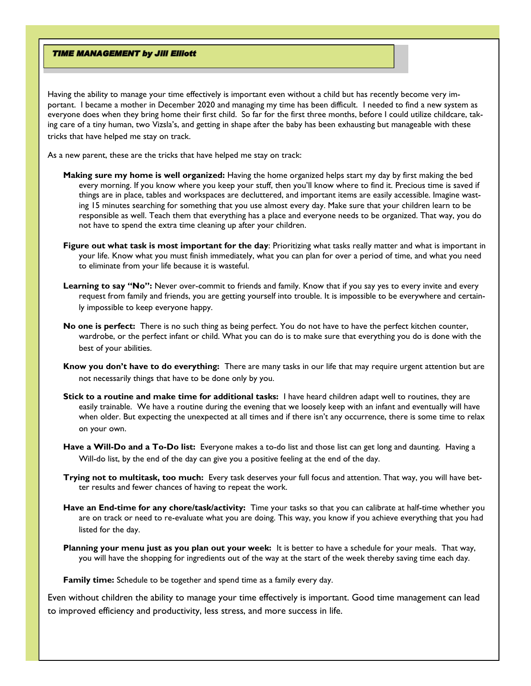#### **TIME MANAGEMENT by Jill Elliott**

Having the ability to manage your time effectively is important even without a child but has recently become very important. I became a mother in December 2020 and managing my time has been difficult. I needed to find a new system as everyone does when they bring home their first child. So far for the first three months, before I could utilize childcare, taking care of a tiny human, two Vizsla's, and getting in shape after the baby has been exhausting but manageable with these tricks that have helped me stay on track.

As a new parent, these are the tricks that have helped me stay on track:

- **Making sure my home is well organized:** Having the home organized helps start my day by first making the bed every morning. If you know where you keep your stuff, then you'll know where to find it. Precious time is saved if things are in place, tables and workspaces are decluttered, and important items are easily accessible. Imagine wasting 15 minutes searching for something that you use almost every day. Make sure that your children learn to be responsible as well. Teach them that everything has a place and everyone needs to be organized. That way, you do not have to spend the extra time cleaning up after your children.
- **Figure out what task is most important for the day**: Prioritizing what tasks really matter and what is important in your life. Know what you must finish immediately, what you can plan for over a period of time, and what you need to eliminate from your life because it is wasteful.
- Learning to say "No": Never over-commit to friends and family. Know that if you say yes to every invite and every request from family and friends, you are getting yourself into trouble. It is impossible to be everywhere and certainly impossible to keep everyone happy.
- **No one is perfect:** There is no such thing as being perfect. You do not have to have the perfect kitchen counter, wardrobe, or the perfect infant or child. What you can do is to make sure that everything you do is done with the best of your abilities.
- **Know you don't have to do everything:** There are many tasks in our life that may require urgent attention but are not necessarily things that have to be done only by you.
- **Stick to a routine and make time for additional tasks:** I have heard children adapt well to routines, they are easily trainable. We have a routine during the evening that we loosely keep with an infant and eventually will have when older. But expecting the unexpected at all times and if there isn't any occurrence, there is some time to relax on your own.
- **Have a Will-Do and a To-Do list:** Everyone makes a to-do list and those list can get long and daunting. Having a Will-do list, by the end of the day can give you a positive feeling at the end of the day.
- **Trying not to multitask, too much:** Every task deserves your full focus and attention. That way, you will have better results and fewer chances of having to repeat the work.
- **Have an End-time for any chore/task/activity:** Time your tasks so that you can calibrate at half-time whether you are on track or need to re-evaluate what you are doing. This way, you know if you achieve everything that you had listed for the day.
- **Planning your menu just as you plan out your week:** It is better to have a schedule for your meals. That way, you will have the shopping for ingredients out of the way at the start of the week thereby saving time each day.

**Family time:** Schedule to be together and spend time as a family every day.

Even without children the ability to manage your time effectively is important. Good time management can lead to improved efficiency and productivity, less stress, and more success in life.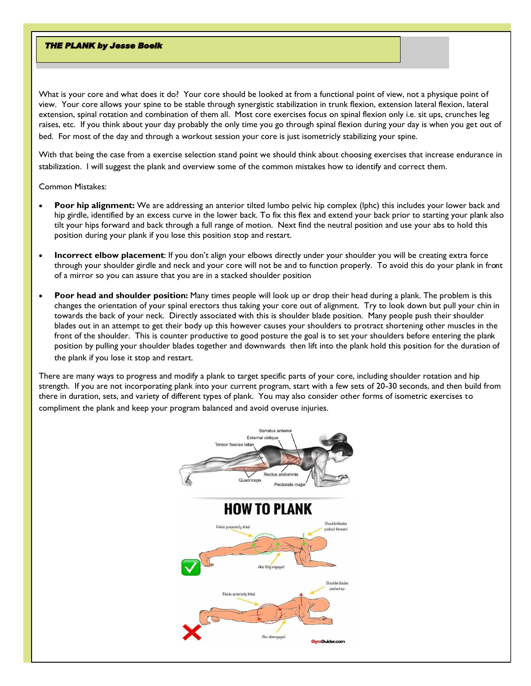#### **THE PLANK by Jesse Boelk**

What is your core and what does it do? Your core should be looked at from a functional point of view, not a physique point of view. Your core allows your spine to be stable through synergistic stabilization in trunk flexion, extension lateral flexion, lateral extension, spinal rotation and combination of them all. Most core exercises focus on spinal flexion only i.e. sit ups, crunches leg raises, etc. If you think about your day probably the only time you go through spinal flexion during your day is when you get out of bed. For most of the day and through a workout session your core is just isometricly stabilizing your spine.

With that being the case from a exercise selection stand point we should think about choosing exercises that increase endurance in stabilization. I will suggest the plank and overview some of the common mistakes how to identify and correct them.

Common Mistakes:

- **Poor hip alignment:** We are addressing an anterior tilted lumbo pelvic hip complex (lphc) this includes your lower back and hip girdle, identified by an excess curve in the lower back. To fix this flex and extend your back prior to starting your plank also tilt your hips forward and back through a full range of motion. Next find the neutral position and use your abs to hold this position during your plank if you lose this position stop and restart.
- **Incorrect elbow placement**: If you don't align your elbows directly under your shoulder you will be creating extra force through your shoulder girdle and neck and your core will not be and to function properly. To avoid this do your plank in front of a mirror so you can assure that you are in a stacked shoulder position
- **Poor head and shoulder position:** Many times people will look up or drop their head during a plank. The problem is this changes the orientation of your spinal erectors thus taking your core out of alignment. Try to look down but pull your chin in towards the back of your neck. Directly associated with this is shoulder blade position. Many people push their shoulder blades out in an attempt to get their body up this however causes your shoulders to protract shortening other muscles in the front of the shoulder. This is counter productive to good posture the goal is to set your shoulders before entering the plank position by pulling your shoulder blades together and downwards then lift into the plank hold this position for the duration of the plank if you lose it stop and restart.

There are many ways to progress and modify a plank to target specific parts of your core, including shoulder rotation and hip strength. If you are not incorporating plank into your current program, start with a few sets of 20-30 seconds, and then build from there in duration, sets, and variety of different types of plank. You may also consider other forms of isometric exercises to compliment the plank and keep your program balanced and avoid overuse injuries.